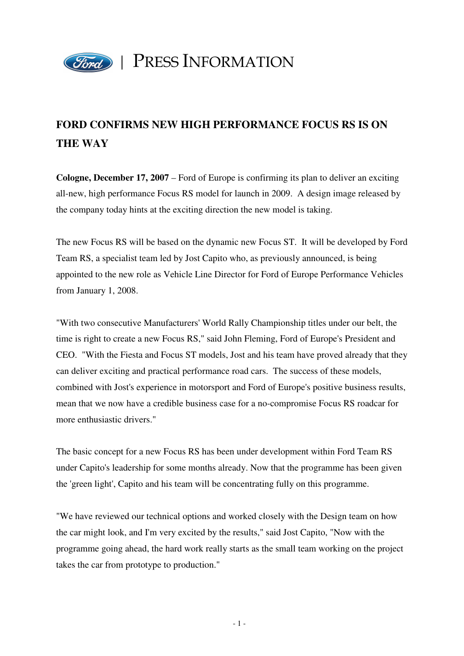

## PRESS INFORMATION

## **FORD CONFIRMS NEW HIGH PERFORMANCE FOCUS RS IS ON THE WAY**

**Cologne, December 17, 2007** – Ford of Europe is confirming its plan to deliver an exciting all-new, high performance Focus RS model for launch in 2009. A design image released by the company today hints at the exciting direction the new model is taking.

The new Focus RS will be based on the dynamic new Focus ST. It will be developed by Ford Team RS, a specialist team led by Jost Capito who, as previously announced, is being appointed to the new role as Vehicle Line Director for Ford of Europe Performance Vehicles from January 1, 2008.

"With two consecutive Manufacturers' World Rally Championship titles under our belt, the time is right to create a new Focus RS," said John Fleming, Ford of Europe's President and CEO. "With the Fiesta and Focus ST models, Jost and his team have proved already that they can deliver exciting and practical performance road cars. The success of these models, combined with Jost's experience in motorsport and Ford of Europe's positive business results, mean that we now have a credible business case for a no-compromise Focus RS roadcar for more enthusiastic drivers."

The basic concept for a new Focus RS has been under development within Ford Team RS under Capito's leadership for some months already. Now that the programme has been given the 'green light', Capito and his team will be concentrating fully on this programme.

"We have reviewed our technical options and worked closely with the Design team on how the car might look, and I'm very excited by the results," said Jost Capito, "Now with the programme going ahead, the hard work really starts as the small team working on the project takes the car from prototype to production."